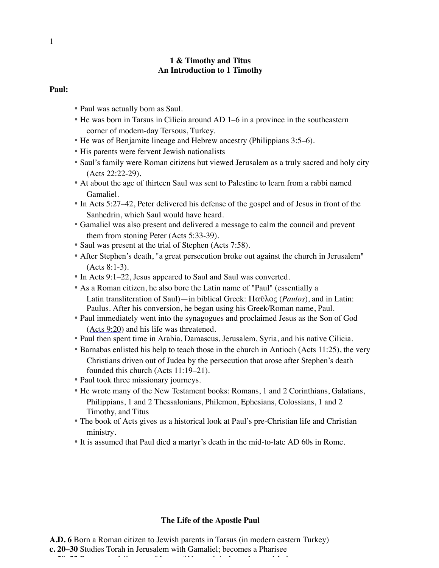#### **1 & Timothy and Titus An Introduction to 1 Timothy**

#### **Paul:**

- Paul was actually born as Saul.
- He was born in Tarsus in Cilicia around AD 1–6 in a province in the southeastern corner of modern-day Tersous, Turkey.
- He was of Benjamite lineage and Hebrew ancestry (Philippians 3:5–6).
- His parents were fervent Jewish nationalists
- Saul's family were Roman citizens but viewed Jerusalem as a truly sacred and holy city (Acts 22:22-29).
- At about the age of thirteen Saul was sent to Palestine to learn from a rabbi named Gamaliel.
- In Acts 5:27–42, Peter delivered his defense of the gospel and of Jesus in front of the Sanhedrin, which Saul would have heard.
- Gamaliel was also present and delivered a message to calm the council and prevent them from stoning Peter (Acts 5:33-39).
- Saul was present at the trial of Stephen (Acts 7:58).
- After Stephen's death, "a great persecution broke out against the church in Jerusalem" (Acts 8:1-3).
- In Acts 9:1–22, Jesus appeared to Saul and Saul was converted.
- As a Roman citizen, he also bore the Latin name of "Paul" (essentially a Latin transliteration of Saul)—in biblical Greek: Παῦλος (*Paulos*), and in Latin: Paulus. After his conversion, he began using his Greek/Roman name, Paul.
- Paul immediately went into the synagogues and proclaimed Jesus as the Son of God (Acts 9:20) and his life was threatened.
- Paul then spent time in Arabia, Damascus, Jerusalem, Syria, and his native Cilicia.
- Barnabas enlisted his help to teach those in the church in Antioch (Acts 11:25), the very Christians driven out of Judea by the persecution that arose after Stephen's death founded this church (Acts 11:19–21).
- Paul took three missionary journeys.
- He wrote many of the New Testament books: Romans, 1 and 2 Corinthians, Galatians, Philippians, 1 and 2 Thessalonians, Philemon, Ephesians, Colossians, 1 and 2 Timothy, and Titus
- The book of Acts gives us a historical look at Paul's pre-Christian life and Christian ministry.
- It is assumed that Paul died a martyr's death in the mid-to-late AD 60s in Rome.

#### **The Life of the Apostle Paul**

**A.D. 6** Born a Roman citizen to Jewish parents in Tarsus (in modern eastern Turkey) **c. 20–30** Studies Torah in Jerusalem with Gamaliel; becomes a Pharisee **c. 30–33** Persecutes followers of Jesus of Nazareth in Jerusalem and Judea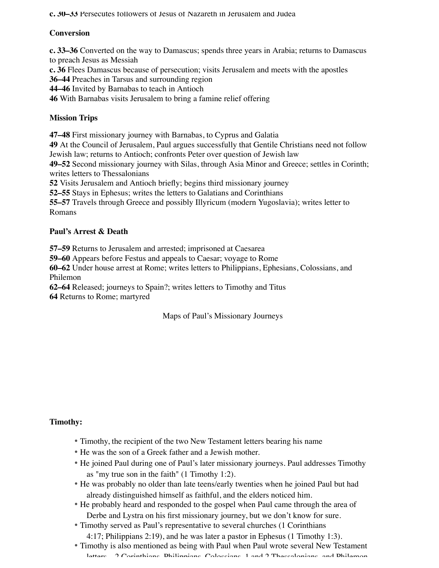**c. 30–33** Persecutes followers of Jesus of Nazareth in Jerusalem and Judea

## **Conversion**

**c. 33–36** Converted on the way to Damascus; spends three years in Arabia; returns to Damascus to preach Jesus as Messiah

**c. 36** Flees Damascus because of persecution; visits Jerusalem and meets with the apostles

**36–44** Preaches in Tarsus and surrounding region

**44–46** Invited by Barnabas to teach in Antioch

**46** With Barnabas visits Jerusalem to bring a famine relief offering

# **Mission Trips**

**47–48** First missionary journey with Barnabas, to Cyprus and Galatia

**49** At the Council of Jerusalem, Paul argues successfully that Gentile Christians need not follow Jewish law; returns to Antioch; confronts Peter over question of Jewish law

**49–52** Second missionary journey with Silas, through Asia Minor and Greece; settles in Corinth; writes letters to Thessalonians

**52** Visits Jerusalem and Antioch briefly; begins third missionary journey

**52–55** Stays in Ephesus; writes the letters to Galatians and Corinthians

**55–57** Travels through Greece and possibly Illyricum (modern Yugoslavia); writes letter to Romans

## **Paul's Arrest & Death**

**57–59** Returns to Jerusalem and arrested; imprisoned at Caesarea

**59–60** Appears before Festus and appeals to Caesar; voyage to Rome

**60–62** Under house arrest at Rome; writes letters to Philippians, Ephesians, Colossians, and Philemon

**62–64** Released; journeys to Spain?; writes letters to Timothy and Titus **64** Returns to Rome; martyred

# Maps of Paul's Missionary Journeys

### **Timothy:**

- Timothy, the recipient of the two New Testament letters bearing his name
- He was the son of a Greek father and a Jewish mother.
- He joined Paul during one of Paul's later missionary journeys. Paul addresses Timothy as "my true son in the faith" (1 Timothy 1:2).
- He was probably no older than late teens/early twenties when he joined Paul but had already distinguished himself as faithful, and the elders noticed him.
- He probably heard and responded to the gospel when Paul came through the area of Derbe and Lystra on his first missionary journey, but we don't know for sure.
- Timothy served as Paul's representative to several churches (1 Corinthians 4:17; Philippians 2:19), and he was later a pastor in Ephesus (1 Timothy 1:3).
- Timothy is also mentioned as being with Paul when Paul wrote several New Testament letters—2 Corinthians, Philippians, Colossians, 1 and 2 Thessalonians, and Philemon.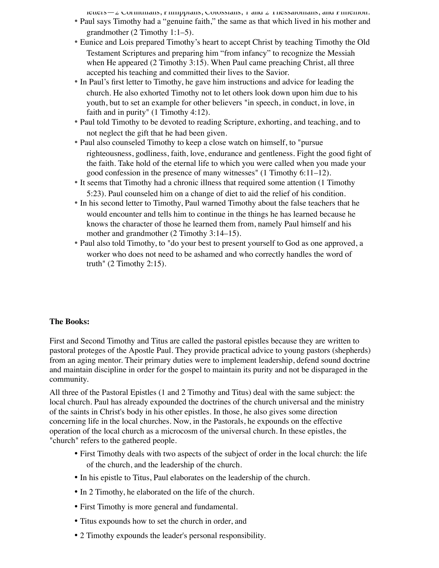$l$ etters— $2$  Corinthians, Philippians, Colossians, 1 and  $2$  Thessalonians, and Philemon.

- Paul says Timothy had a "genuine faith," the same as that which lived in his mother and grandmother (2 Timothy 1:1–5).
- Eunice and Lois prepared Timothy's heart to accept Christ by teaching Timothy the Old Testament Scriptures and preparing him "from infancy" to recognize the Messiah when He appeared (2 Timothy 3:15). When Paul came preaching Christ, all three accepted his teaching and committed their lives to the Savior.
- In Paul's first letter to Timothy, he gave him instructions and advice for leading the church. He also exhorted Timothy not to let others look down upon him due to his youth, but to set an example for other believers "in speech, in conduct, in love, in faith and in purity" (1 Timothy 4:12).
- Paul told Timothy to be devoted to reading Scripture, exhorting, and teaching, and to not neglect the gift that he had been given.
- Paul also counseled Timothy to keep a close watch on himself, to "pursue righteousness, godliness, faith, love, endurance and gentleness. Fight the good fight of the faith. Take hold of the eternal life to which you were called when you made your good confession in the presence of many witnesses" (1 Timothy 6:11–12).
- It seems that Timothy had a chronic illness that required some attention (1 Timothy 5:23). Paul counseled him on a change of diet to aid the relief of his condition.
- In his second letter to Timothy, Paul warned Timothy about the false teachers that he would encounter and tells him to continue in the things he has learned because he knows the character of those he learned them from, namely Paul himself and his mother and grandmother  $(2$  Timothy 3:14–15).
- Paul also told Timothy, to "do your best to present yourself to God as one approved, a worker who does not need to be ashamed and who correctly handles the word of truth" (2 Timothy 2:15).

### **The Books:**

First and Second Timothy and Titus are called the pastoral epistles because they are written to pastoral proteges of the Apostle Paul. They provide practical advice to young pastors (shepherds) from an aging mentor. Their primary duties were to implement leadership, defend sound doctrine and maintain discipline in order for the gospel to maintain its purity and not be disparaged in the community.

All three of the Pastoral Epistles (1 and 2 Timothy and Titus) deal with the same subject: the local church. Paul has already expounded the doctrines of the church universal and the ministry of the saints in Christ's body in his other epistles. In those, he also gives some direction concerning life in the local churches. Now, in the Pastorals, he expounds on the effective operation of the local church as a microcosm of the universal church. In these epistles, the "church" refers to the gathered people.

- First Timothy deals with two aspects of the subject of order in the local church: the life of the church, and the leadership of the church.
- In his epistle to Titus, Paul elaborates on the leadership of the church.
- In 2 Timothy, he elaborated on the life of the church.
- First Timothy is more general and fundamental.
- Titus expounds how to set the church in order, and
- 2 Timothy expounds the leader's personal responsibility.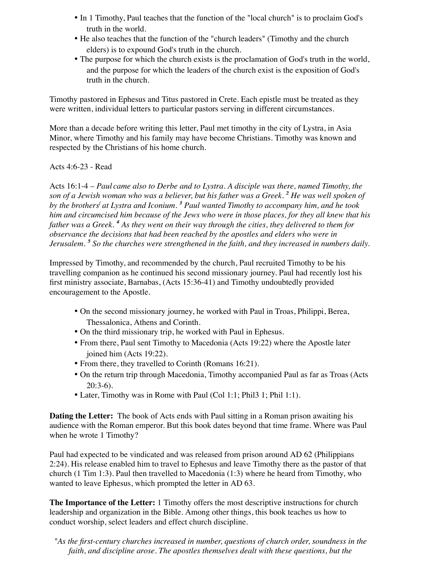- In 1 Timothy, Paul teaches that the function of the "local church" is to proclaim God's truth in the world.
- He also teaches that the function of the "church leaders" (Timothy and the church elders) is to expound God's truth in the church.
- The purpose for which the church exists is the proclamation of God's truth in the world, and the purpose for which the leaders of the church exist is the exposition of God's truth in the church.

Timothy pastored in Ephesus and Titus pastored in Crete. Each epistle must be treated as they were written, individual letters to particular pastors serving in different circumstances.

More than a decade before writing this letter, Paul met timothy in the city of Lystra, in Asia Minor, where Timothy and his family may have become Christians. Timothy was known and respected by the Christians of his home church.

## Acts 4:6-23 - Read

Acts 16:1-4 – *Paul came also to Derbe and to Lystra. A disciple was there, named Timothy, the son of a Jewish woman who was a believer, but his father was a Greek. 2 2 He was well spoken of by the brothers[ at Lystra and Iconium. 3 3 Paul wanted Timothy to accompany him, and he took him and circumcised him because of the Jews who were in those places, for they all knew that his father was a Greek. 4 4 As they went on their way through the cities, they delivered to them for observance the decisions that had been reached by the apostles and elders who were in Jerusalem. 5 5 So the churches were strengthened in the faith, and they increased in numbers daily.*

Impressed by Timothy, and recommended by the church, Paul recruited Timothy to be his travelling companion as he continued his second missionary journey. Paul had recently lost his first ministry associate, Barnabas, (Acts 15:36-41) and Timothy undoubtedly provided encouragement to the Apostle.

- On the second missionary journey, he worked with Paul in Troas, Philippi, Berea, Thessalonica, Athens and Corinth.
- On the third missionary trip, he worked with Paul in Ephesus.
- From there, Paul sent Timothy to Macedonia (Acts 19:22) where the Apostle later joined him (Acts 19:22).
- From there, they travelled to Corinth (Romans 16:21).
- On the return trip through Macedonia, Timothy accompanied Paul as far as Troas (Acts  $20:3-6$ ).
- Later, Timothy was in Rome with Paul (Col 1:1; Phil 3 1; Phil 1:1).

**Dating the Letter:** The book of Acts ends with Paul sitting in a Roman prison awaiting his audience with the Roman emperor. But this book dates beyond that time frame. Where was Paul when he wrote 1 Timothy?

Paul had expected to be vindicated and was released from prison around AD 62 (Philippians 2:24). His release enabled him to travel to Ephesus and leave Timothy there as the pastor of that church (1 Tim 1:3). Paul then travelled to Macedonia (1:3) where he heard from Timothy, who wanted to leave Ephesus, which prompted the letter in AD 63.

**The Importance of the Letter:** 1 Timothy offers the most descriptive instructions for church leadership and organization in the Bible. Among other things, this book teaches us how to conduct worship, select leaders and effect church discipline.

*"As the first-century churches increased in number, questions of church order, soundness in the faith, and discipline arose. The apostles themselves dealt with these questions, but the*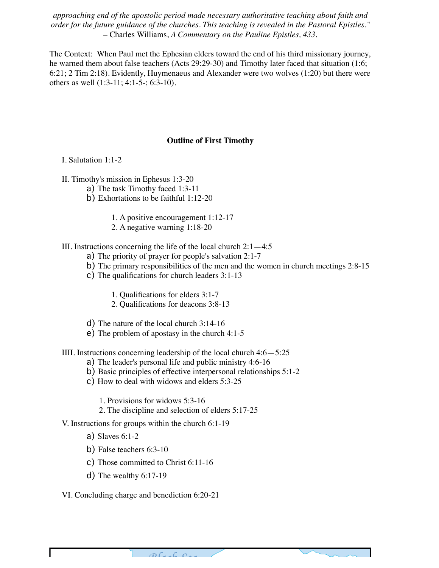*approaching end of the apostolic period made necessary authoritative teaching about faith and order for the future guidance of the churches. This teaching is revealed in the Pastoral Epistles."* – Charles Williams, *A Commentary on the Pauline Epistles, 433.*

The Context: When Paul met the Ephesian elders toward the end of his third missionary journey, he warned them about false teachers (Acts 29:29-30) and Timothy later faced that situation (1:6; 6:21; 2 Tim 2:18). Evidently, Huymenaeus and Alexander were two wolves (1:20) but there were others as well (1:3-11; 4:1-5-; 6:3-10).

#### **Outline of First Timothy**

I. Salutation 1:1-2

II. Timothy's mission in Ephesus 1:3-20

- a) The task Timothy faced 1:3-11
- b) Exhortations to be faithful 1:12-20
	- 1. A positive encouragement 1:12-17
	- 2. A negative warning 1:18-20

III. Instructions concerning the life of the local church  $2:1-4:5$ 

- a) The priority of prayer for people's salvation 2:1-7
- b) The primary responsibilities of the men and the women in church meetings 2:8-15
- c) The qualifications for church leaders 3:1-13
	- 1. Qualifications for elders 3:1-7
	- 2. Qualifications for deacons 3:8-13
- d) The nature of the local church 3:14-16
- e) The problem of apostasy in the church 4:1-5

IIII. Instructions concerning leadership of the local church 4:6—5:25

- a) The leader's personal life and public ministry 4:6-16
- b) Basic principles of effective interpersonal relationships 5:1-2
- c) How to deal with widows and elders 5:3-25
	- 1. Provisions for widows 5:3-16
	- 2. The discipline and selection of elders 5:17-25

V. Instructions for groups within the church 6:1-19

a) Slaves 6:1-2

- b) False teachers 6:3-10
- c) Those committed to Christ 6:11-16
- d) The wealthy 6:17-19

VI. Concluding charge and benediction 6:20-21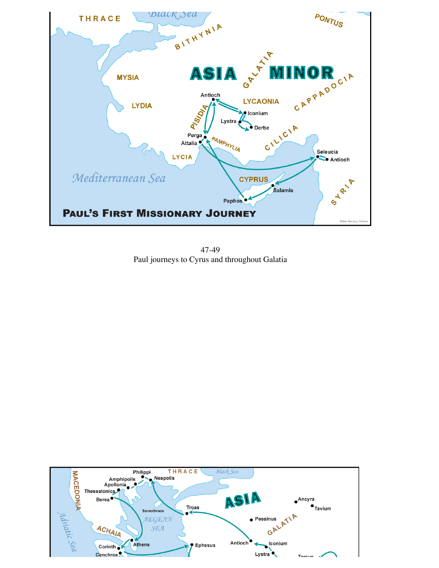

47-49 Paul journeys to Cyrus and throughout Galatia